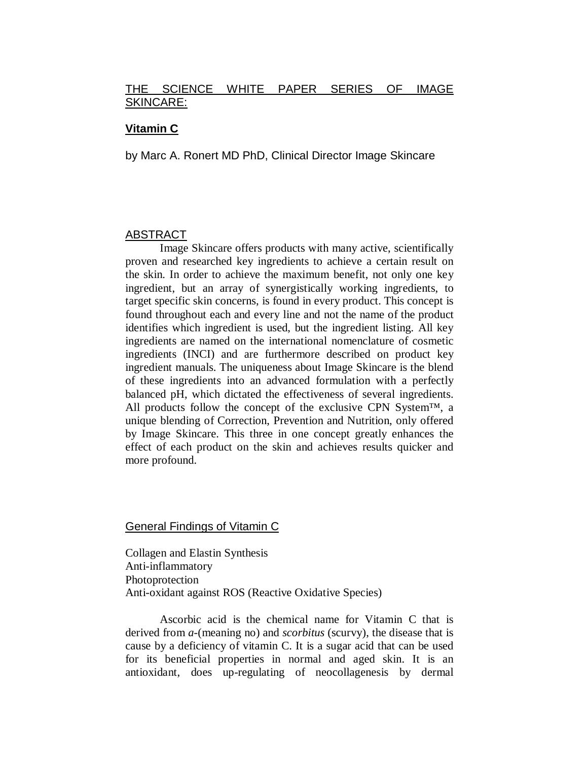### THE SCIENCE WHITE PAPER SERIES OF IMAGE SKINCARE:

### **Vitamin C**

by Marc A. Ronert MD PhD, Clinical Director Image Skincare

### ABSTRACT

Image Skincare offers products with many active, scientifically proven and researched key ingredients to achieve a certain result on the skin. In order to achieve the maximum benefit, not only one key ingredient, but an array of synergistically working ingredients, to target specific skin concerns, is found in every product. This concept is found throughout each and every line and not the name of the product identifies which ingredient is used, but the ingredient listing. All key ingredients are named on the international nomenclature of cosmetic ingredients (INCI) and are furthermore described on product key ingredient manuals. The uniqueness about Image Skincare is the blend of these ingredients into an advanced formulation with a perfectly balanced pH, which dictated the effectiveness of several ingredients. All products follow the concept of the exclusive CPN System™, a unique blending of Correction, Prevention and Nutrition, only offered by Image Skincare. This three in one concept greatly enhances the effect of each product on the skin and achieves results quicker and more profound.

#### General Findings of Vitamin C

Collagen and Elastin Synthesis Anti-inflammatory Photoprotection Anti-oxidant against ROS (Reactive Oxidative Species)

Ascorbic acid is the chemical name for Vitamin C that is derived from *a*-(meaning no) and *scorbitus* (scurvy), the disease that is cause by a deficiency of vitamin C. It is a sugar acid that can be used for its beneficial properties in normal and aged skin. It is an antioxidant, does up-regulating of neocollagenesis by dermal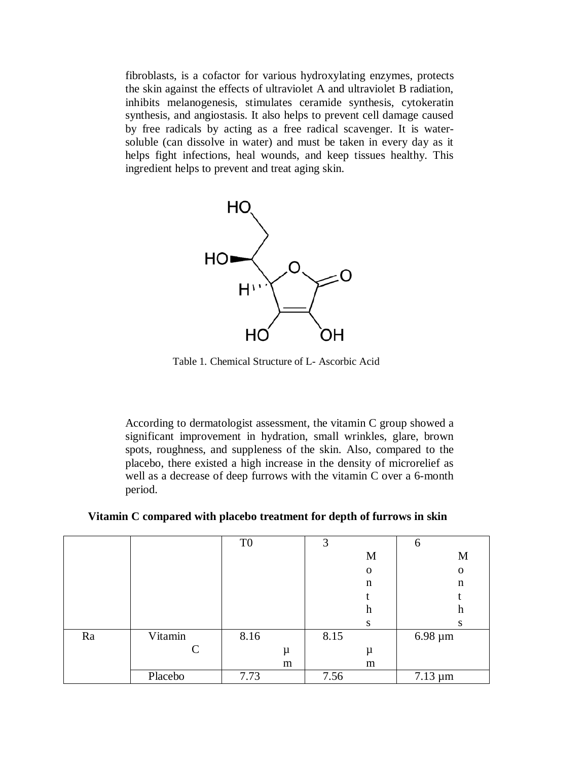fibroblasts, is a cofactor for various hydroxylating enzymes, protects the skin against the effects of ultraviolet A and ultraviolet B radiation, inhibits melanogenesis, stimulates ceramide synthesis, cytokeratin synthesis, and angiostasis. It also helps to prevent cell damage caused by free radicals by acting as a free radical scavenger. It is watersoluble (can dissolve in water) and must be taken in every day as it helps fight infections, heal wounds, and keep tissues healthy. This ingredient helps to prevent and treat aging skin.



Table 1. Chemical Structure of L- Ascorbic Acid

According to dermatologist assessment, the vitamin C group showed a significant improvement in hydration, small wrinkles, glare, brown spots, roughness, and suppleness of the skin. Also, compared to the placebo, there existed a high increase in the density of microrelief as well as a decrease of deep furrows with the vitamin C over a 6-month period.

**Vitamin C compared with placebo treatment for depth of furrows in skin**

|    |               | T <sub>0</sub> |   | 3    |             | 6            |
|----|---------------|----------------|---|------|-------------|--------------|
|    |               |                |   |      | M           | M            |
|    |               |                |   |      | $\mathbf 0$ | $\mathbf 0$  |
|    |               |                |   |      | n           | n            |
|    |               |                |   |      |             |              |
|    |               |                |   |      | h           | h            |
|    |               |                |   |      | S           | S            |
| Ra | Vitamin       | 8.16           |   | 8.15 |             | $6.98 \mu m$ |
|    | $\mathcal{C}$ |                | μ |      | μ           |              |
|    |               |                | m |      | m           |              |
|    | Placebo       | 7.73           |   | 7.56 |             | $7.13 \mu m$ |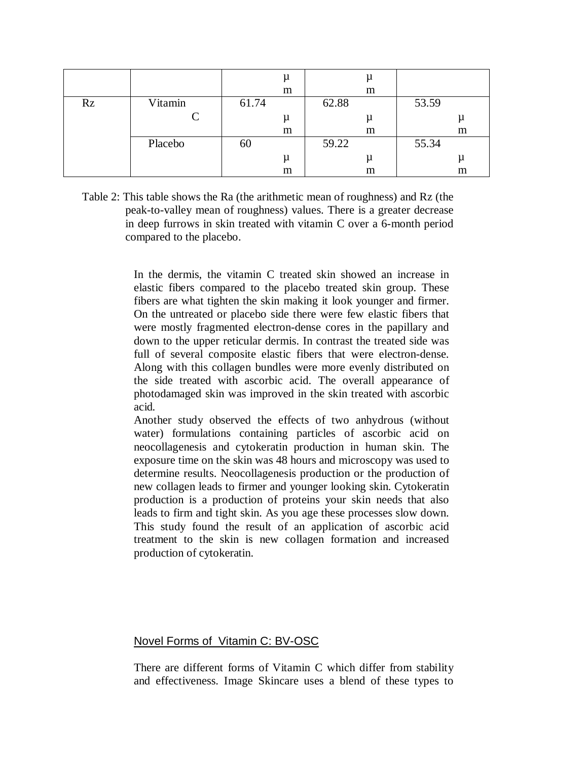|    |         |       | μ     | μ     |       |
|----|---------|-------|-------|-------|-------|
|    |         |       | m     | m     |       |
| Rz | Vitamin | 61.74 |       | 62.88 | 53.59 |
|    | C       |       | $\mu$ |       |       |
|    |         |       | m     | m     | m     |
|    | Placebo | 60    |       | 59.22 | 55.34 |
|    |         |       | μ     | μ     |       |
|    |         |       | m     | m     | m     |

Table 2: This table shows the Ra (the arithmetic mean of roughness) and Rz (the peak-to-valley mean of roughness) values. There is a greater decrease in deep furrows in skin treated with vitamin C over a 6-month period compared to the placebo.

> In the dermis, the vitamin C treated skin showed an increase in elastic fibers compared to the placebo treated skin group. These fibers are what tighten the skin making it look younger and firmer. On the untreated or placebo side there were few elastic fibers that were mostly fragmented electron-dense cores in the papillary and down to the upper reticular dermis. In contrast the treated side was full of several composite elastic fibers that were electron-dense. Along with this collagen bundles were more evenly distributed on the side treated with ascorbic acid. The overall appearance of photodamaged skin was improved in the skin treated with ascorbic acid.

> Another study observed the effects of two anhydrous (without water) formulations containing particles of ascorbic acid on neocollagenesis and cytokeratin production in human skin. The exposure time on the skin was 48 hours and microscopy was used to determine results. Neocollagenesis production or the production of new collagen leads to firmer and younger looking skin. Cytokeratin production is a production of proteins your skin needs that also leads to firm and tight skin. As you age these processes slow down. This study found the result of an application of ascorbic acid treatment to the skin is new collagen formation and increased production of cytokeratin.

### Novel Forms of Vitamin C: BV-OSC

There are different forms of Vitamin C which differ from stability and effectiveness. Image Skincare uses a blend of these types to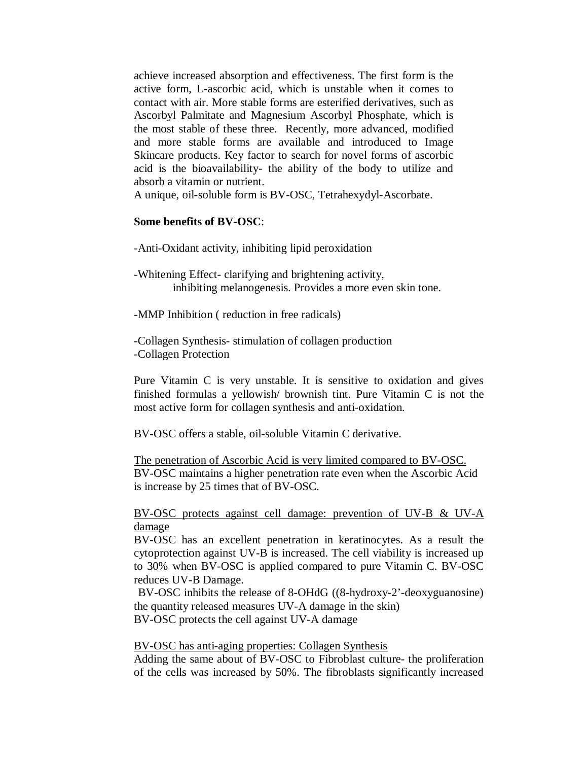achieve increased absorption and effectiveness. The first form is the active form, L-ascorbic acid, which is unstable when it comes to contact with air. More stable forms are esterified derivatives, such as Ascorbyl Palmitate and Magnesium Ascorbyl Phosphate, which is the most stable of these three. Recently, more advanced, modified and more stable forms are available and introduced to Image Skincare products. Key factor to search for novel forms of ascorbic acid is the bioavailability- the ability of the body to utilize and absorb a vitamin or nutrient.

A unique, oil-soluble form is BV-OSC, Tetrahexydyl-Ascorbate.

### **Some benefits of BV-OSC**:

-Anti-Oxidant activity, inhibiting lipid peroxidation

-Whitening Effect- clarifying and brightening activity, inhibiting melanogenesis. Provides a more even skin tone.

-MMP Inhibition ( reduction in free radicals)

-Collagen Synthesis- stimulation of collagen production -Collagen Protection

Pure Vitamin C is very unstable. It is sensitive to oxidation and gives finished formulas a yellowish/ brownish tint. Pure Vitamin C is not the most active form for collagen synthesis and anti-oxidation.

BV-OSC offers a stable, oil-soluble Vitamin C derivative.

BV-OSC maintains a higher penetration rate even when the Ascorbic Acid is increase by 25 times that of BV-OSC. The penetration of Ascorbic Acid is very limited compared to BV-OSC.

BV-OSC protects against cell damage: prevention of UV-B & UV-A damage

BV-OSC has an excellent penetration in keratinocytes. As a result the cytoprotection against UV-B is increased. The cell viability is increased up to 30% when BV-OSC is applied compared to pure Vitamin C. BV-OSC reduces UV-B Damage.

BV-OSC inhibits the release of 8-OHdG ((8-hydroxy-2'-deoxyguanosine) the quantity released measures UV-A damage in the skin) BV-OSC protects the cell against UV-A damage

BV-OSC has anti-aging properties: Collagen Synthesis

Adding the same about of BV-OSC to Fibroblast culture- the proliferation of the cells was increased by 50%. The fibroblasts significantly increased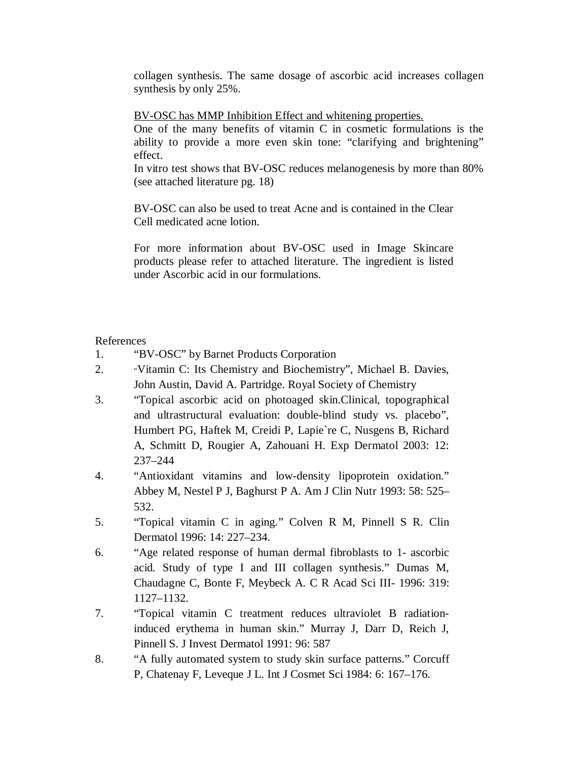collagen synthesis. The same dosage of ascorbic acid increases collagen synthesis by only 25%.

BV-OSC has MMP Inhibition Effect and whitening properties.

One of the many benefits of vitamin C in cosmetic formulations is the ability to provide a more even skin tone: "clarifying and brightening" effect.

In vitro test shows that BV-OSC reduces melanogenesis by more than 80% (see attached literature pg. 18)

BV-OSC can also be used to treat Acne and is contained in the Clear Cell medicated acne lotion.

For more information about BV-OSC used in Image Skincare products please refer to attached literature. The ingredient is listed under Ascorbic acid in our formulations.

References

- 1. "BV-OSC" by Barnet Products Corporation
- 2. "Vitamin C: Its Chemistry and Biochemistry", Michael B. Davies, John Austin, David A. Partridge. Royal Society of Chemistry
- 3. "Topical ascorbic acid on photoaged skin.Clinical, topographical and ultrastructural evaluation: double-blind study vs. placebo", Humbert PG, Haftek M, Creidi P, Lapie`re C, Nusgens B, Richard A, Schmitt D, Rougier A, Zahouani H. Exp Dermatol 2003: 12: 237–244
- 4. "Antioxidant vitamins and low-density lipoprotein oxidation." Abbey M, Nestel P J, Baghurst P A. Am J Clin Nutr 1993: 58: 525– 532.
- 5. "Topical vitamin C in aging." Colven R M, Pinnell S R. Clin Dermatol 1996: 14: 227–234.
- 6. "Age related response of human dermal fibroblasts to 1- ascorbic acid. Study of type I and III collagen synthesis." Dumas M, Chaudagne C, Bonte F, Meybeck A. C R Acad Sci III- 1996: 319: 1127–1132.
- 7. "Topical vitamin C treatment reduces ultraviolet B radiationinduced erythema in human skin." Murray J, Darr D, Reich J, Pinnell S. J Invest Dermatol 1991: 96: 587
- 8. "A fully automated system to study skin surface patterns." Corcuff P, Chatenay F, Leveque J L. Int J Cosmet Sci 1984: 6: 167–176.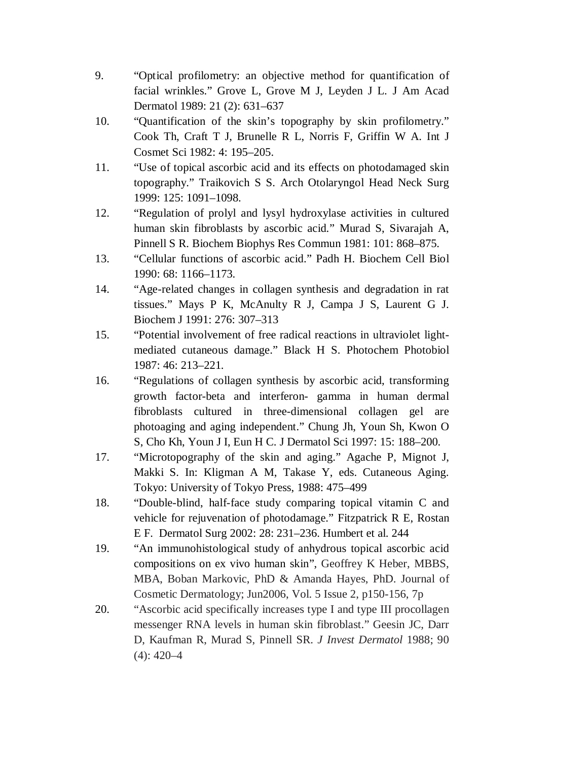- 9. "Optical profilometry: an objective method for quantification of facial wrinkles." Grove L, Grove M J, Leyden J L. J Am Acad Dermatol 1989: 21 (2): 631–637
- 10. "Quantification of the skin's topography by skin profilometry." Cook Th, Craft T J, Brunelle R L, Norris F, Griffin W A. Int J Cosmet Sci 1982: 4: 195–205.
- 11. "Use of topical ascorbic acid and its effects on photodamaged skin topography." Traikovich S S. Arch Otolaryngol Head Neck Surg 1999: 125: 1091–1098.
- 12. "Regulation of prolyl and lysyl hydroxylase activities in cultured human skin fibroblasts by ascorbic acid." Murad S, Sivarajah A, Pinnell S R. Biochem Biophys Res Commun 1981: 101: 868–875.
- 13. "Cellular functions of ascorbic acid." Padh H. Biochem Cell Biol 1990: 68: 1166–1173.
- 14. "Age-related changes in collagen synthesis and degradation in rat tissues." Mays P K, McAnulty R J, Campa J S, Laurent G J. Biochem J 1991: 276: 307–313
- 15. "Potential involvement of free radical reactions in ultraviolet lightmediated cutaneous damage." Black H S. Photochem Photobiol 1987: 46: 213–221.
- 16. "Regulations of collagen synthesis by ascorbic acid, transforming growth factor-beta and interferon- gamma in human dermal fibroblasts cultured in three-dimensional collagen gel are photoaging and aging independent." Chung Jh, Youn Sh, Kwon O S, Cho Kh, Youn J I, Eun H C. J Dermatol Sci 1997: 15: 188–200.
- 17. "Microtopography of the skin and aging." Agache P, Mignot J, Makki S. In: Kligman A M, Takase Y, eds. Cutaneous Aging. Tokyo: University of Tokyo Press, 1988: 475–499
- 18. "Double-blind, half-face study comparing topical vitamin C and vehicle for rejuvenation of photodamage." Fitzpatrick R E, Rostan E F. Dermatol Surg 2002: 28: 231–236. Humbert et al. 244
- 19. "An immunohistological study of anhydrous topical ascorbic acid compositions on ex vivo human skin", Geoffrey K Heber, MBBS, MBA, Boban Markovic, PhD & Amanda Hayes, PhD. Journal of Cosmetic Dermatology; Jun2006, Vol. 5 Issue 2, p150-156, 7p
- 20. "Ascorbic acid specifically increases type I and type III procollagen messenger RNA levels in human skin fibroblast." Geesin JC, Darr D, Kaufman R, Murad S, Pinnell SR. *J Invest Dermatol* 1988; 90 (4): 420–4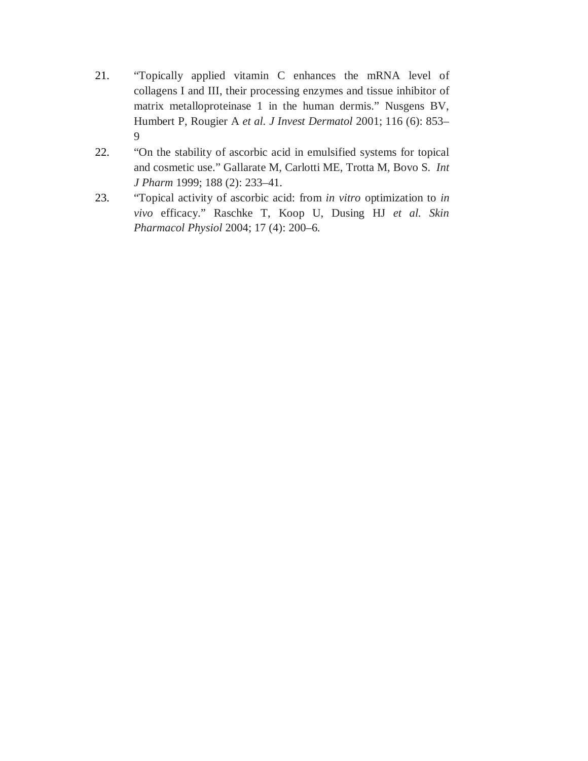- 21. "Topically applied vitamin C enhances the mRNA level of collagens I and III, their processing enzymes and tissue inhibitor of matrix metalloproteinase 1 in the human dermis." Nusgens BV, Humbert P, Rougier A *et al. J Invest Dermatol* 2001; 116 (6): 853– 9
- 22. "On the stability of ascorbic acid in emulsified systems for topical and cosmetic use." Gallarate M, Carlotti ME, Trotta M, Bovo S. *Int J Pharm* 1999; 188 (2): 233–41.
- 23. "Topical activity of ascorbic acid: from *in vitro* optimization to *in vivo* efficacy." Raschke T, Koop U, Dusing HJ *et al. Skin Pharmacol Physiol* 2004; 17 (4): 200–6.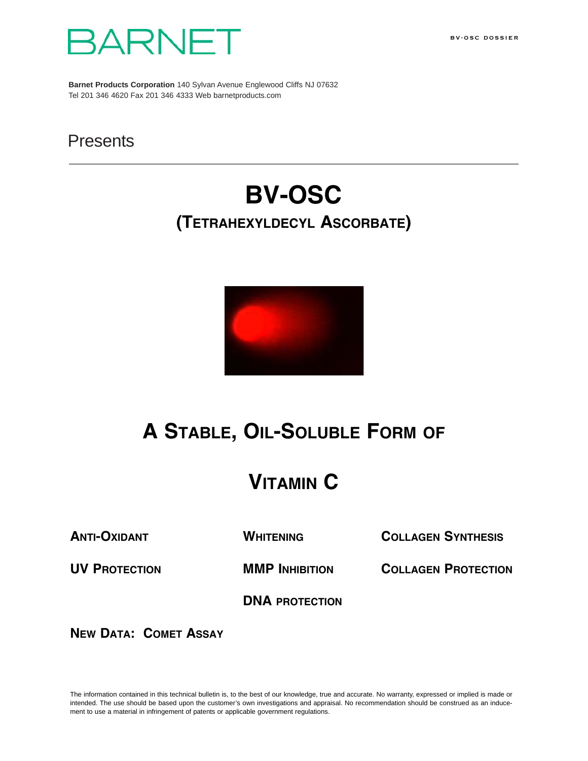



**Barnet Products Corporation** 140 Sylvan Avenue Englewood Cliffs NJ 07632 Tel 201 346 4620 Fax 201 346 4333 Web barnetproducts.com

### **Presents**

# **BV-OSC (TETRAHEXYLDECYL ASCORBATE)**



## **A STABLE, OIL-SOLUBLE FORM OF**

## **VITAMIN C**

**ANTI-OXIDANT WHITENING COLLAGEN SYNTHESIS**

**UV PROTECTION MMP INHIBITION COLLAGEN PROTECTION**

**DNA PROTECTION**

**NEW DATA: COMET ASSAY**

The information contained in this technical bulletin is, to the best of our knowledge, true and accurate. No warranty, expressed or implied is made or intended. The use should be based upon the customer's own investigations and appraisal. No recommendation should be construed as an inducement to use a material in infringement of patents or applicable government regulations.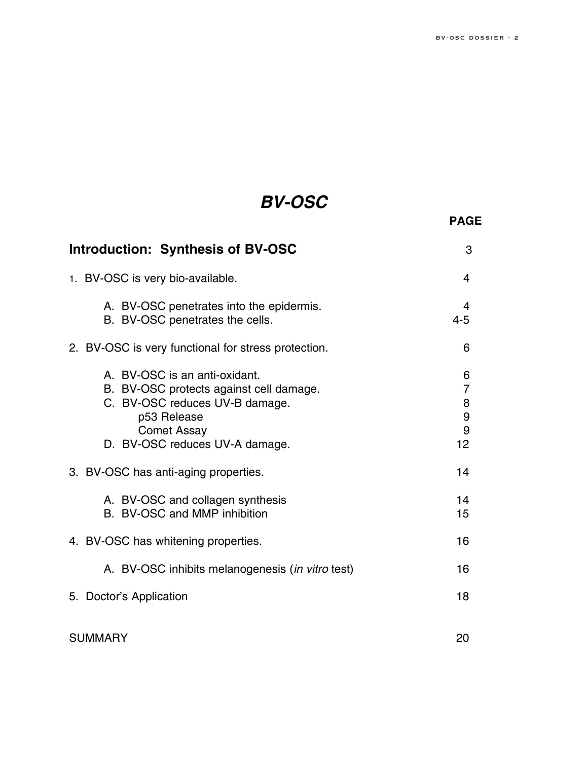**PAGE**

## *BV-OSC*

| <b>Introduction: Synthesis of BV-OSC</b>                                                                                                                                          | 3                                        |
|-----------------------------------------------------------------------------------------------------------------------------------------------------------------------------------|------------------------------------------|
| 1. BV-OSC is very bio-available.                                                                                                                                                  | 4                                        |
| A. BV-OSC penetrates into the epidermis.<br>B. BV-OSC penetrates the cells.                                                                                                       | 4<br>$4 - 5$                             |
| 2. BV-OSC is very functional for stress protection.                                                                                                                               | 6                                        |
| A. BV-OSC is an anti-oxidant.<br>B. BV-OSC protects against cell damage.<br>C. BV-OSC reduces UV-B damage.<br>p53 Release<br><b>Comet Assay</b><br>D. BV-OSC reduces UV-A damage. | 6<br>$\overline{7}$<br>8<br>9<br>9<br>12 |
| 3. BV-OSC has anti-aging properties.                                                                                                                                              | 14                                       |
| A. BV-OSC and collagen synthesis<br>B. BV-OSC and MMP inhibition                                                                                                                  | 14<br>15                                 |
| 4. BV-OSC has whitening properties.                                                                                                                                               | 16                                       |
| A. BV-OSC inhibits melanogenesis (in vitro test)                                                                                                                                  | 16                                       |
| 5. Doctor's Application                                                                                                                                                           | 18                                       |
| <b>SUMMARY</b>                                                                                                                                                                    | 20                                       |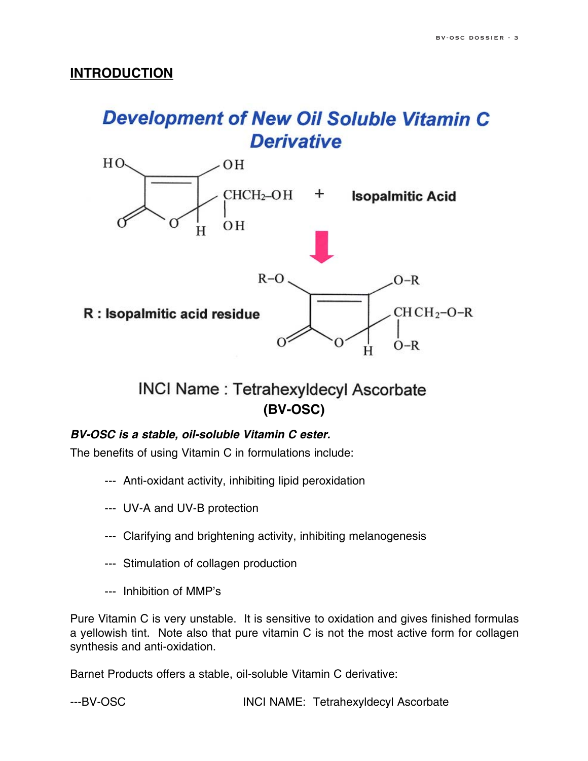### **INTRODUCTION**

## **Development of New Oil Soluble Vitamin C Derivative**



**INCI Name: Tetrahexyldecyl Ascorbate (BV-OSC)**

### *BV-OSC is a stable, oil-soluble Vitamin C ester.*

The benefits of using Vitamin C in formulations include:

- --- Anti-oxidant activity, inhibiting lipid peroxidation
- --- UV-A and UV-B protection
- --- Clarifying and brightening activity, inhibiting melanogenesis
- --- Stimulation of collagen production
- --- Inhibition of MMP's

Pure Vitamin C is very unstable. It is sensitive to oxidation and gives finished formulas a yellowish tint. Note also that pure vitamin C is not the most active form for collagen synthesis and anti-oxidation.

Barnet Products offers a stable, oil-soluble Vitamin C derivative:

---BV-OSC INCI NAME: Tetrahexyldecyl Ascorbate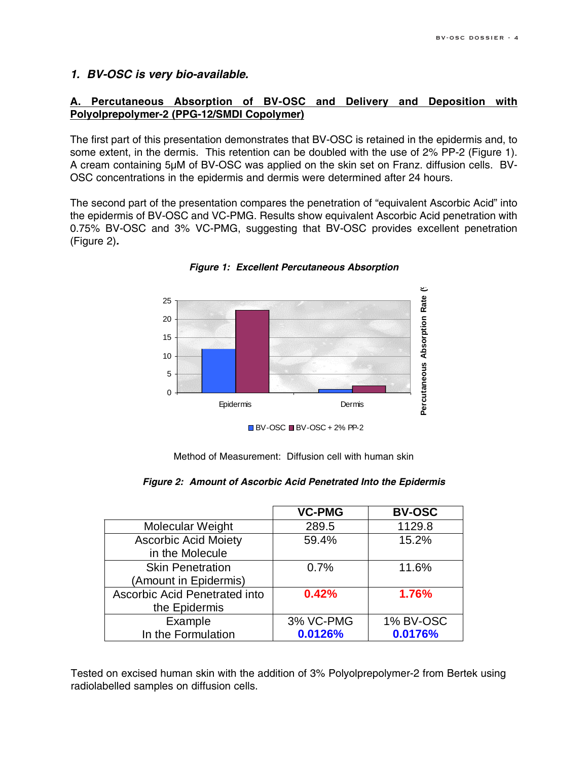### *1. BV-OSC is very bio-available.*

### **A. Percutaneous Absorption of BV-OSC and Delivery and Deposition with Polyolprepolymer-2 (PPG-12/SMDI Copolymer)**

The first part of this presentation demonstrates that BV-OSC is retained in the epidermis and, to some extent, in the dermis. This retention can be doubled with the use of 2% PP-2 (Figure 1). A cream containing 5µM of BV-OSC was applied on the skin set on Franz. diffusion cells. BV-OSC concentrations in the epidermis and dermis were determined after 24 hours.

The second part of the presentation compares the penetration of "equivalent Ascorbic Acid" into the epidermis of BV-OSC and VC-PMG. Results show equivalent Ascorbic Acid penetration with 0.75% BV-OSC and 3% VC-PMG, suggesting that BV-OSC provides excellent penetration (Figure 2)*.*



*Figure 1: Excellent Percutaneous Absorption*

Method of Measurement: Diffusion cell with human skin

|  |  |  | Figure 2: Amount of Ascorbic Acid Penetrated Into the Epidermis |  |  |
|--|--|--|-----------------------------------------------------------------|--|--|
|--|--|--|-----------------------------------------------------------------|--|--|

|                                                  | <b>VC-PMG</b> | <b>BV-OSC</b>    |
|--------------------------------------------------|---------------|------------------|
| Molecular Weight                                 | 289.5         | 1129.8           |
| <b>Ascorbic Acid Moiety</b><br>in the Molecule   | 59.4%         | 15.2%            |
| <b>Skin Penetration</b><br>(Amount in Epidermis) | 0.7%          | 11.6%            |
| Ascorbic Acid Penetrated into<br>the Epidermis   | 0.42%         | 1.76%            |
| Example                                          | 3% VC-PMG     | <b>1% BV-OSC</b> |
| In the Formulation                               | 0.0126%       | 0.0176%          |

Tested on excised human skin with the addition of 3% Polyolprepolymer-2 from Bertek using radiolabelled samples on diffusion cells.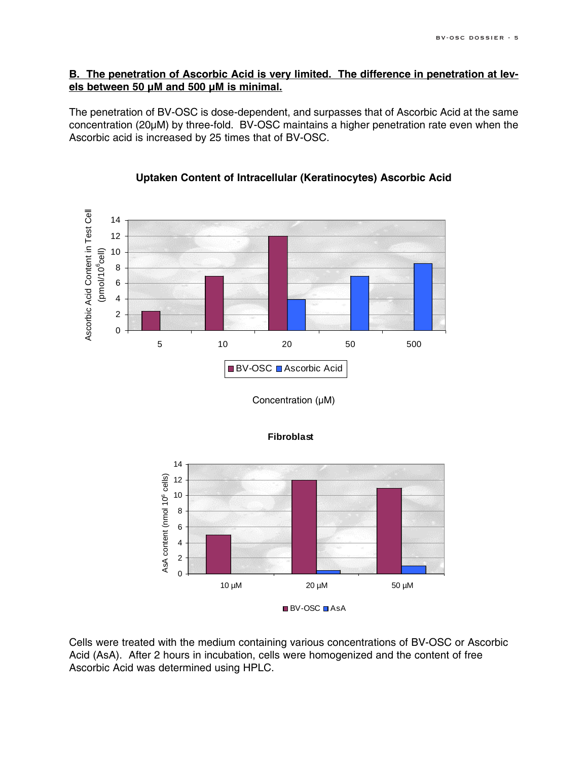### **B. The penetration of Ascorbic Acid is very limited. The difference in penetration at levels between 50 µM and 500 µM is minimal.**

The penetration of BV-OSC is dose-dependent, and surpasses that of Ascorbic Acid at the same concentration (20µM) by three-fold. BV-OSC maintains a higher penetration rate even when the Ascorbic acid is increased by 25 times that of BV-OSC.



### **Uptaken Content of Intracellular (Keratinocytes) Ascorbic Acid**

Concentration (µM)



**Fibroblast**

Cells were treated with the medium containing various concentrations of BV-OSC or Ascorbic Acid (AsA). After 2 hours in incubation, cells were homogenized and the content of free Ascorbic Acid was determined using HPLC.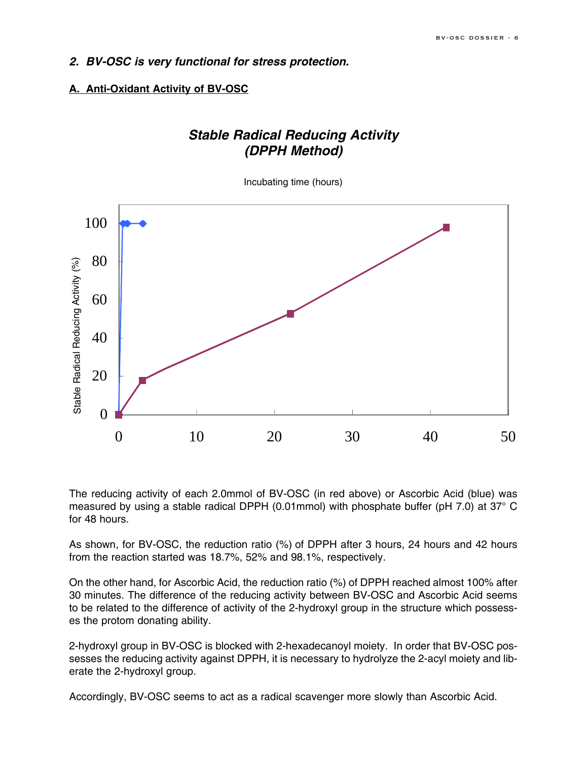### *2. BV-OSC is very functional for stress protection.*

### **A. Anti-Oxidant Activity of BV-OSC**

### *Stable Radical Reducing Activity (DPPH Method)*

Incubating time (hours)



The reducing activity of each 2.0mmol of BV-OSC (in red above) or Ascorbic Acid (blue) was measured by using a stable radical DPPH (0.01mmol) with phosphate buffer (pH 7.0) at 37° C for 48 hours.

As shown, for BV-OSC, the reduction ratio (%) of DPPH after 3 hours, 24 hours and 42 hours from the reaction started was 18.7%, 52% and 98.1%, respectively.

On the other hand, for Ascorbic Acid, the reduction ratio (%) of DPPH reached almost 100% after 30 minutes. The difference of the reducing activity between BV-OSC and Ascorbic Acid seems to be related to the difference of activity of the 2-hydroxyl group in the structure which possesses the protom donating ability.

2-hydroxyl group in BV-OSC is blocked with 2-hexadecanoyl moiety. In order that BV-OSC possesses the reducing activity against DPPH, it is necessary to hydrolyze the 2-acyl moiety and liberate the 2-hydroxyl group.

Accordingly, BV-OSC seems to act as a radical scavenger more slowly than Ascorbic Acid.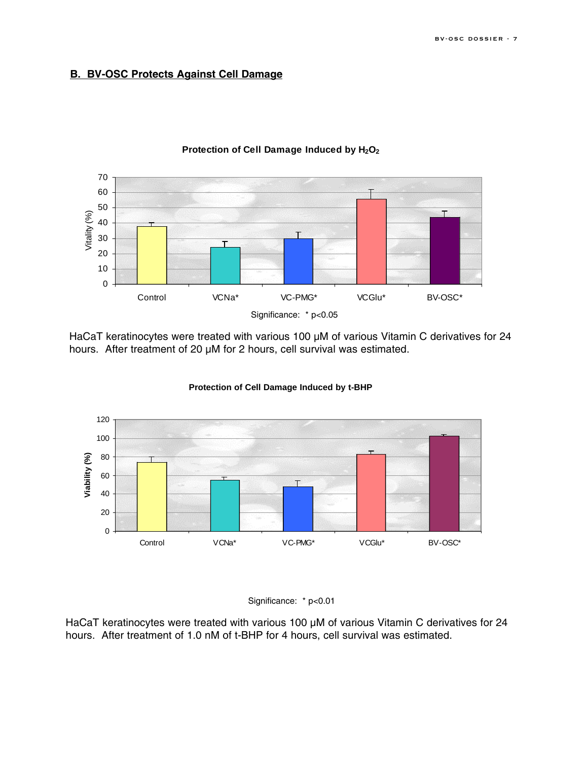### **B. BV-OSC Protects Against Cell Damage**



Protection of Cell Damage Induced by H<sub>2</sub>O<sub>2</sub>

HaCaT keratinocytes were treated with various 100 µM of various Vitamin C derivatives for 24 hours. After treatment of 20 µM for 2 hours, cell survival was estimated.



**Protection of Cell Damage Induced by t-BPH Protection of Cell Damage Induced by t-BHP**



HaCaT keratinocytes were treated with various 100 µM of various Vitamin C derivatives for 24 hours. After treatment of 1.0 nM of t-BHP for 4 hours, cell survival was estimated.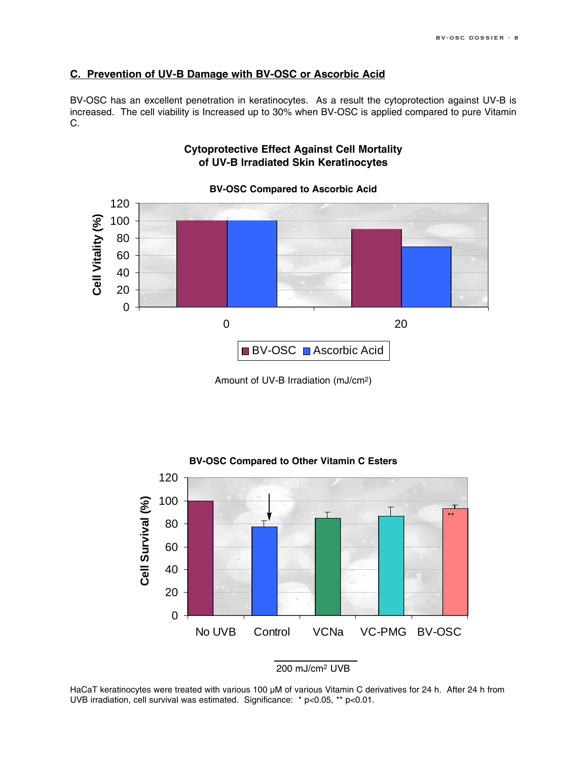### **C. Prevention of UV-B Damage with BV-OSC or Ascorbic Acid**

BV-OSC has an excellent penetration in keratinocytes. As a result the cytoprotection against UV-B is increased. The cell viability is Increased up to 30% when BV-OSC is applied compared to pure Vitamin C.



**Cytoprotective Effect Against Cell Mortality of UV-B Irradiated Skin Keratinocytes**

Amount of UV-B Irradiation (mJ/cm2)



200 mJ/cm2 UVB

HaCaT keratinocytes were treated with various 100 µM of various Vitamin C derivatives for 24 h. After 24 h from UVB irradiation, cell survival was estimated. Significance: \* p<0.05, \*\* p<0.01.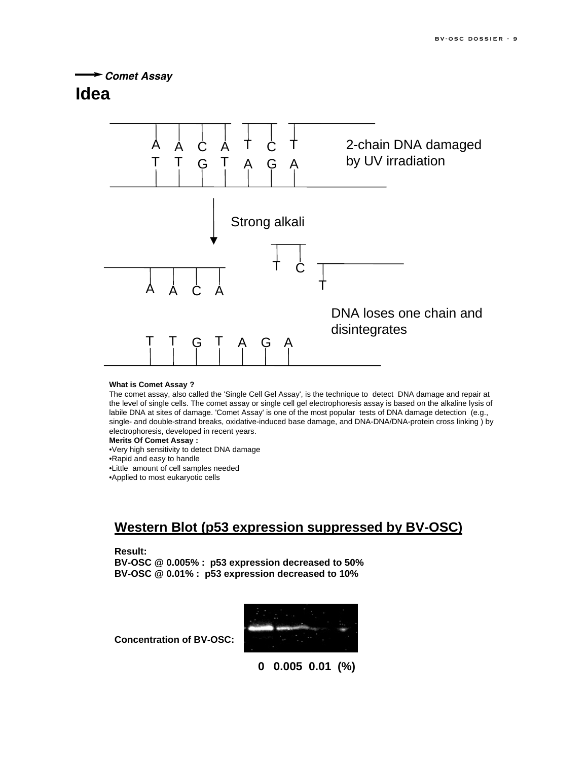*Comet Assay*

### **Idea**



#### **What is Comet Assay ?**

The comet assay, also called the 'Single Cell Gel Assay', is the technique to detect DNA damage and repair at the level of single cells. The comet assay or single cell gel electrophoresis assay is based on the alkaline lysis of labile DNA at sites of damage. 'Comet Assay' is one of the most popular tests of DNA damage detection (e.g., single- and double-strand breaks, oxidative-induced base damage, and DNA-DNA/DNA-protein cross linking ) by electrophoresis, developed in recent years.

#### **Merits Of Comet Assay :**

•Very high sensitivity to detect DNA damage •Rapid and easy to handle

•Little amount of cell samples needed

•Applied to most eukaryotic cells

### **Western Blot (p53 expression suppressed by BV-OSC)**

#### **Result:**

**BV-OSC @ 0.005% : p53 expression decreased to 50% BV-OSC @ 0.01% : p53 expression decreased to 10%**



**Concentration of BV-OSC:**

**0 0.005 0.01 (%)**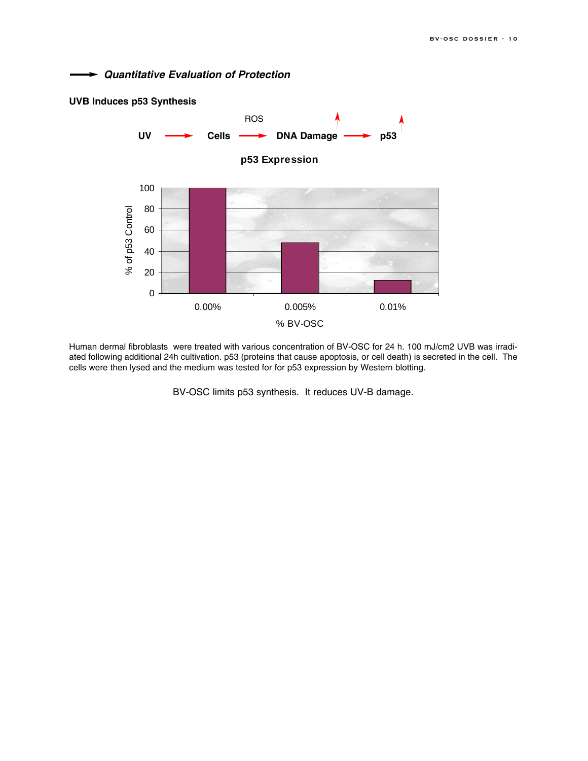*Quantitative Evaluation of Protection*



Human dermal fibroblasts were treated with various concentration of BV-OSC for 24 h. 100 mJ/cm2 UVB was irradiated following additional 24h cultivation. p53 (proteins that cause apoptosis, or cell death) is secreted in the cell. The cells were then lysed and the medium was tested for for p53 expression by Western blotting.

BV-OSC limits p53 synthesis. It reduces UV-B damage.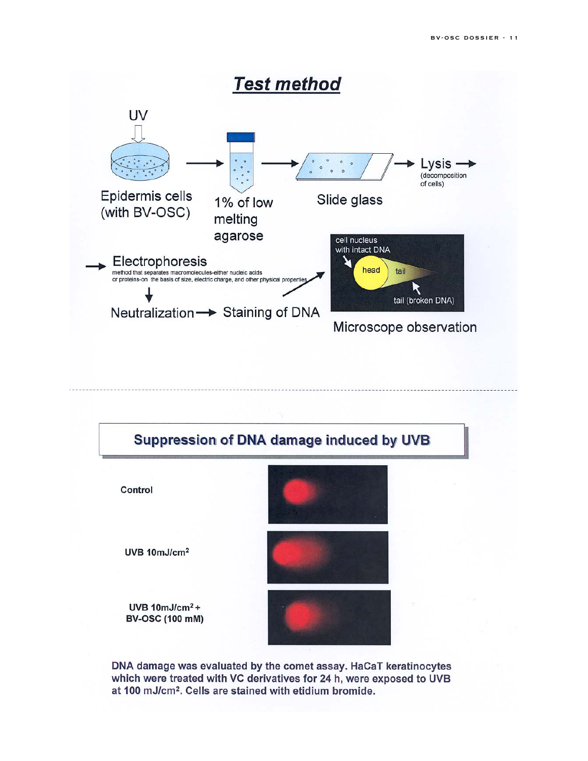

DNA damage was evaluated by the comet assay. HaCaT keratinocytes which were treated with VC derivatives for 24 h, were exposed to UVB at 100 mJ/cm<sup>2</sup>. Cells are stained with etidium bromide.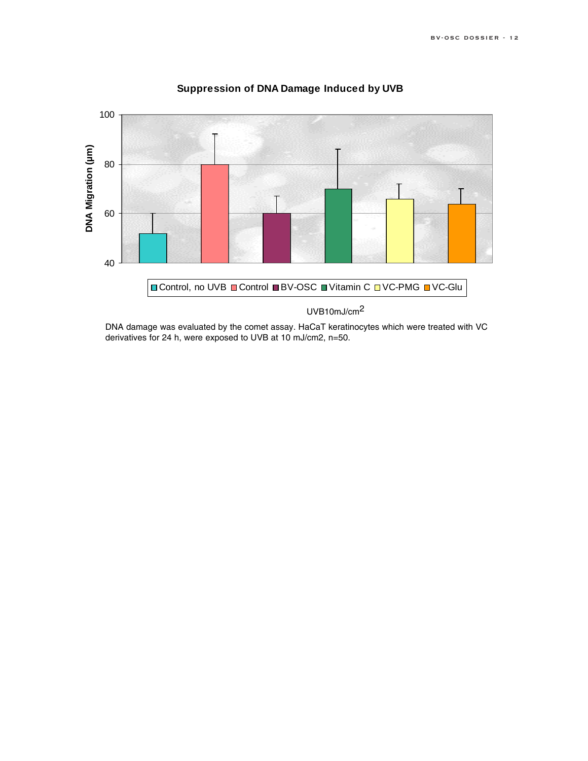

### **Suppression of DNA Damage Induced by UVB**

DNA damage was evaluated by the comet assay. HaCaT keratinocytes which were treated with VC derivatives for 24 h, were exposed to UVB at 10 mJ/cm2, n=50.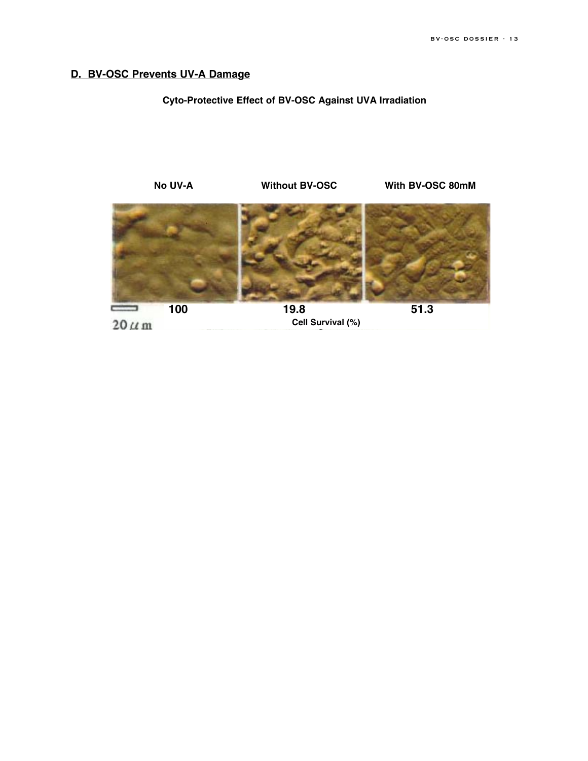### **D. BV-OSC Prevents UV-A Damage**

### **Cyto-Protective Effect of BV-OSC Against UVA Irradiation**



 $20 \mu m$ 

**Cell Survival (%)**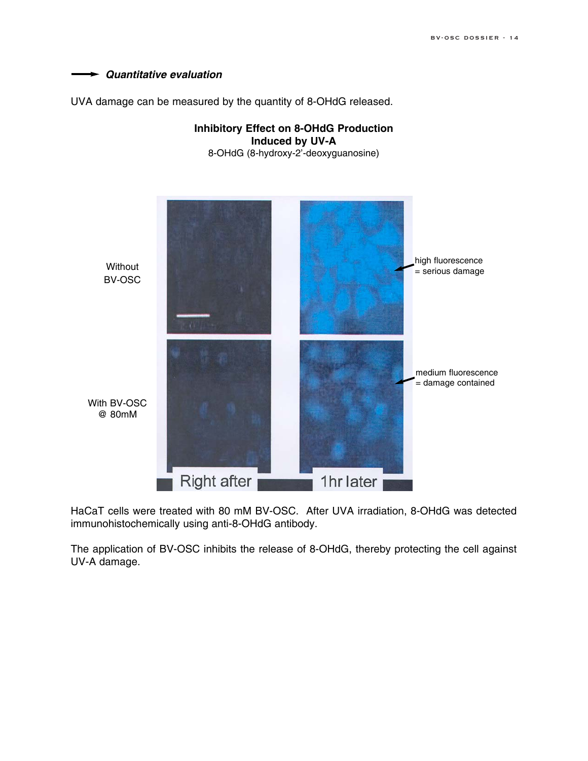

UVA damage can be measured by the quantity of 8-OHdG released.



HaCaT cells were treated with 80 mM BV-OSC. After UVA irradiation, 8-OHdG was detected immunohistochemically using anti-8-OHdG antibody.

The application of BV-OSC inhibits the release of 8-OHdG, thereby protecting the cell against UV-A damage.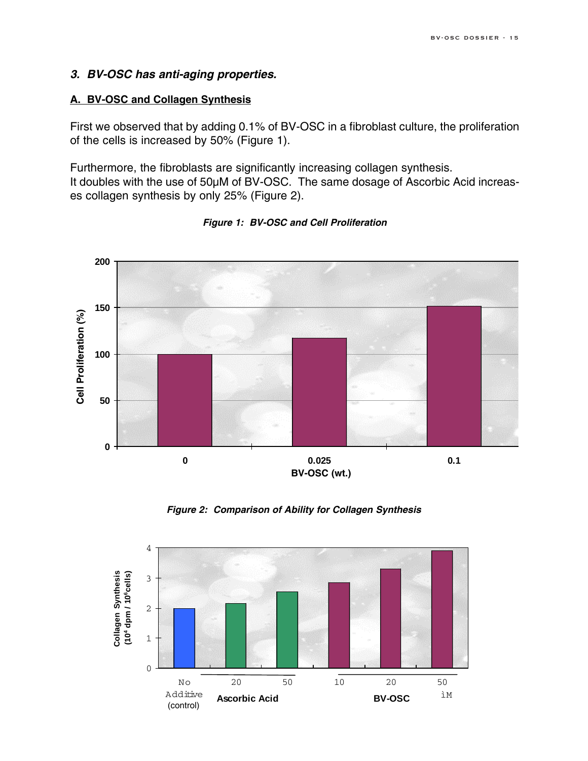### *3. BV-OSC has anti-aging properties.*

### **A. BV-OSC and Collagen Synthesis**

First we observed that by adding 0.1% of BV-OSC in a fibroblast culture, the proliferation of the cells is increased by 50% (Figure 1).

Furthermore, the fibroblasts are significantly increasing collagen synthesis. It doubles with the use of 50µM of BV-OSC. The same dosage of Ascorbic Acid increases collagen synthesis by only 25% (Figure 2).



*Figure 1: BV-OSC and Cell Proliferation*

*Figure 2: Comparison of Ability for Collagen Synthesis*

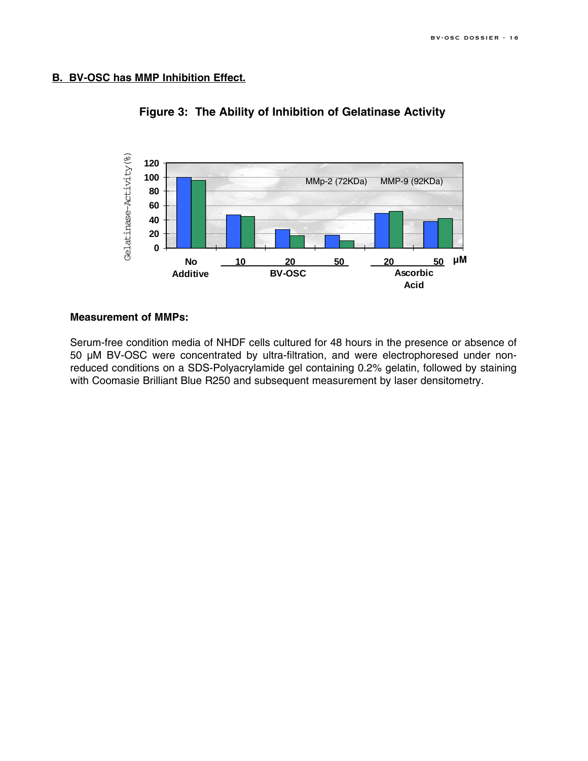### **B. BV-OSC has MMP Inhibition Effect.**



**Figure 3: The Ability of Inhibition of Gelatinase Activity**

#### **Measurement of MMPs:**

Serum-free condition media of NHDF cells cultured for 48 hours in the presence or absence of 50 µM BV-OSC were concentrated by ultra-filtration, and were electrophoresed under nonreduced conditions on a SDS-Polyacrylamide gel containing 0.2% gelatin, followed by staining with Coomasie Brilliant Blue R250 and subsequent measurement by laser densitometry.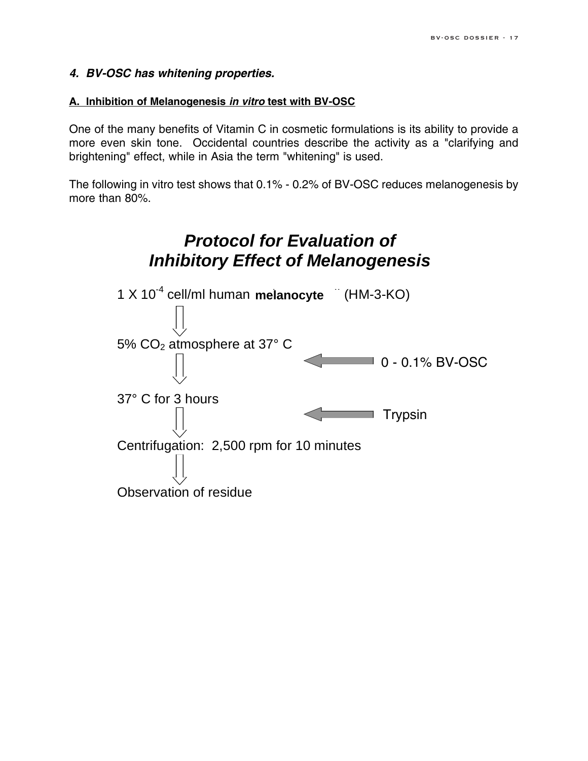### *4. BV-OSC has whitening properties.*

### **A. Inhibition of Melanogenesis** *in vitro* **test with BV-OSC**

One of the many benefits of Vitamin C in cosmetic formulations is its ability to provide a more even skin tone. Occidental countries describe the activity as a "clarifying and brightening" effect, while in Asia the term "whitening" is used.

The following in vitro test shows that 0.1% - 0.2% of BV-OSC reduces melanogenesis by more than 80%.

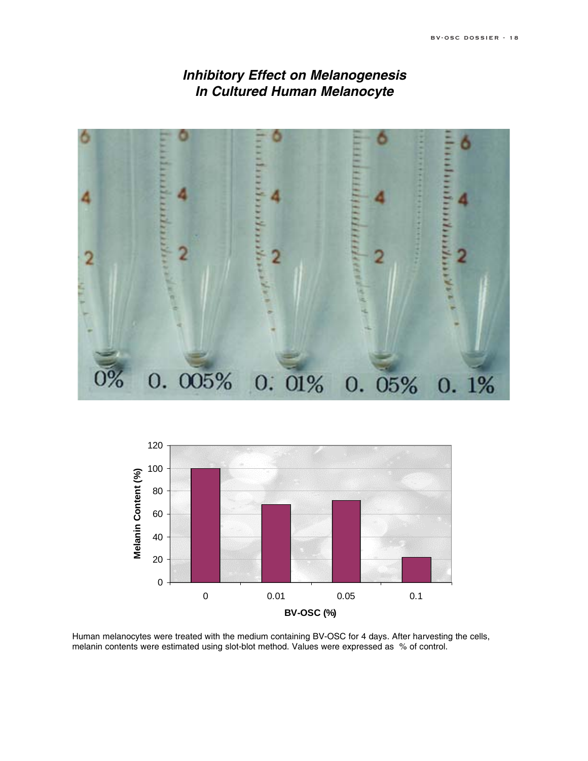### *Inhibitory Effect on Melanogenesis In Cultured Human Melanocyte*





Human melanocytes were treated with the medium containing BV-OSC for 4 days. After harvesting the cells, melanin contents were estimated using slot-blot method. Values were expressed as % of control.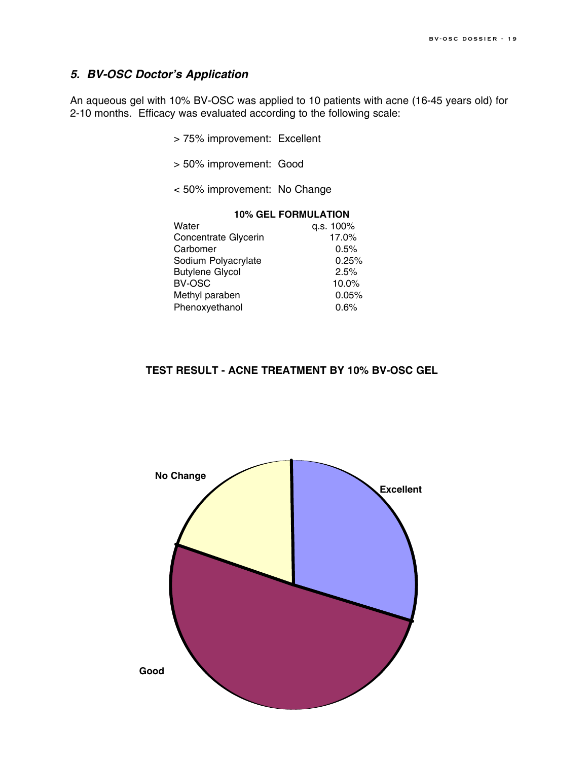### *5. BV-OSC Doctor's Application*

An aqueous gel with 10% BV-OSC was applied to 10 patients with acne (16-45 years old) for 2-10 months. Efficacy was evaluated according to the following scale:

- > 75% improvement: Excellent
- > 50% improvement: Good
- < 50% improvement: No Change

#### **10% GEL FORMULATION**

| Water                  | q.s. 100% |
|------------------------|-----------|
| Concentrate Glycerin   | 17.0%     |
| Carbomer               | 0.5%      |
| Sodium Polyacrylate    | 0.25%     |
| <b>Butylene Glycol</b> | 2.5%      |
| BV-OSC                 | 10.0%     |
| Methyl paraben         | 0.05%     |
| Phenoxyethanol         | 0.6%      |
|                        |           |

### **TEST RESULT - ACNE TREATMENT BY 10% BV-OSC GEL**

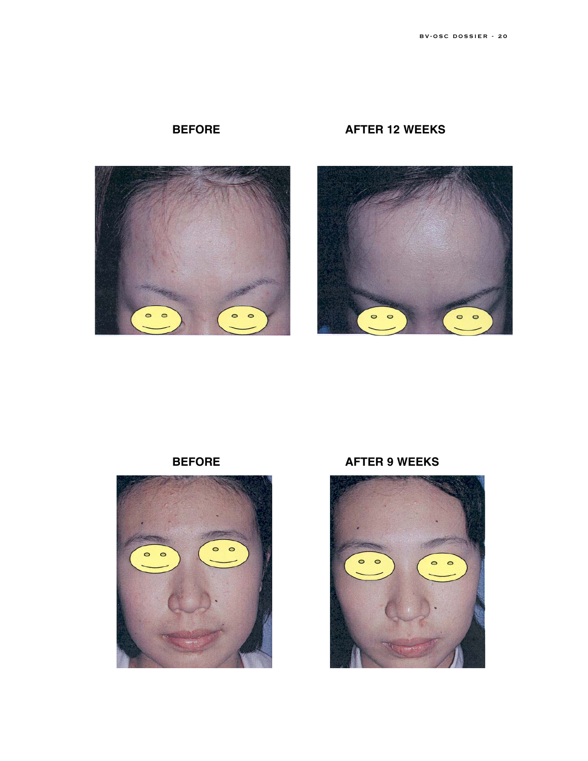







**BEFORE AFTER 9 WEEKS**